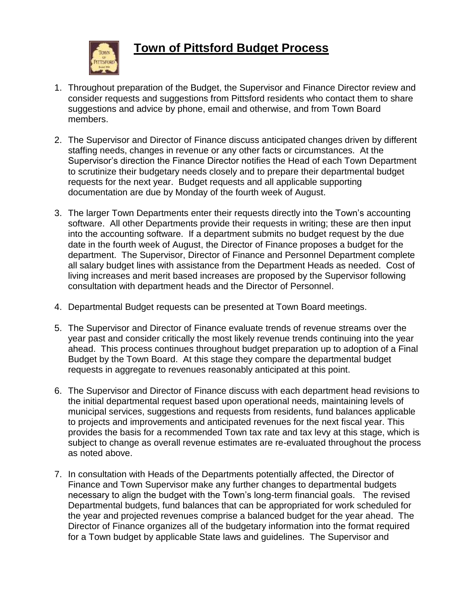

## **Town of Pittsford Budget Process**

- 1. Throughout preparation of the Budget, the Supervisor and Finance Director review and consider requests and suggestions from Pittsford residents who contact them to share suggestions and advice by phone, email and otherwise, and from Town Board members.
- 2. The Supervisor and Director of Finance discuss anticipated changes driven by different staffing needs, changes in revenue or any other facts or circumstances. At the Supervisor's direction the Finance Director notifies the Head of each Town Department to scrutinize their budgetary needs closely and to prepare their departmental budget requests for the next year. Budget requests and all applicable supporting documentation are due by Monday of the fourth week of August.
- 3. The larger Town Departments enter their requests directly into the Town's accounting software. All other Departments provide their requests in writing; these are then input into the accounting software. If a department submits no budget request by the due date in the fourth week of August, the Director of Finance proposes a budget for the department. The Supervisor, Director of Finance and Personnel Department complete all salary budget lines with assistance from the Department Heads as needed. Cost of living increases and merit based increases are proposed by the Supervisor following consultation with department heads and the Director of Personnel.
- 4. Departmental Budget requests can be presented at Town Board meetings.
- 5. The Supervisor and Director of Finance evaluate trends of revenue streams over the year past and consider critically the most likely revenue trends continuing into the year ahead. This process continues throughout budget preparation up to adoption of a Final Budget by the Town Board. At this stage they compare the departmental budget requests in aggregate to revenues reasonably anticipated at this point.
- 6. The Supervisor and Director of Finance discuss with each department head revisions to the initial departmental request based upon operational needs, maintaining levels of municipal services, suggestions and requests from residents, fund balances applicable to projects and improvements and anticipated revenues for the next fiscal year. This provides the basis for a recommended Town tax rate and tax levy at this stage, which is subject to change as overall revenue estimates are re-evaluated throughout the process as noted above.
- 7. In consultation with Heads of the Departments potentially affected, the Director of Finance and Town Supervisor make any further changes to departmental budgets necessary to align the budget with the Town's long-term financial goals. The revised Departmental budgets, fund balances that can be appropriated for work scheduled for the year and projected revenues comprise a balanced budget for the year ahead. The Director of Finance organizes all of the budgetary information into the format required for a Town budget by applicable State laws and guidelines. The Supervisor and